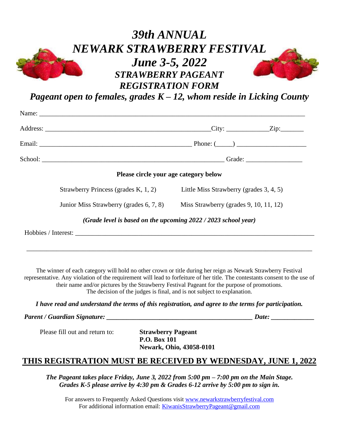## *39th ANNUAL NEWARK STRAWBERRY FESTIVAL June 3-5, 2022 STRAWBERRY PAGEANT REGISTRATION FORM*



| Please circle your age category below                                          |  |  |
|--------------------------------------------------------------------------------|--|--|
| Strawberry Princess (grades K, 1, 2) Little Miss Strawberry (grades 3, 4, 5)   |  |  |
| Junior Miss Strawberry (grades 6, 7, 8) Miss Strawberry (grades 9, 10, 11, 12) |  |  |
| (Grade level is based on the upcoming 2022 / 2023 school year)                 |  |  |
|                                                                                |  |  |

The winner of each category will hold no other crown or title during her reign as Newark Strawberry Festival representative. Any violation of the requirement will lead to forfeiture of her title. The contestants consent to the use of their name and/or pictures by the Strawberry Festival Pageant for the purpose of promotions. The decision of the judges is final, and is not subject to explanation.

\_\_\_\_\_\_\_\_\_\_\_\_\_\_\_\_\_\_\_\_\_\_\_\_\_\_\_\_\_\_\_\_\_\_\_\_\_\_\_\_\_\_\_\_\_\_\_\_\_\_\_\_\_\_\_\_\_\_\_\_\_\_\_\_\_\_\_\_\_\_\_\_\_\_\_\_\_\_\_\_\_\_\_\_\_\_

*I have read and understand the terms of this registration, and agree to the terms for participation.*

Parent / Guardian Signature: *Parent / Guardian Signature: parent in the state of the state of the state of the state of the state of the state of the state of the state of the state of the state of the state of the st* 

Please fill out and return to: **Strawberry Pageant**

**P.O. Box 101 Newark, Ohio, 43058-0101**

## **THIS REGISTRATION MUST BE RECEIVED BY WEDNESDAY, JUNE 1, 2022**

*The Pageant takes place Friday, June 3, 2022 from 5:00 pm – 7:00 pm on the Main Stage. Grades K-5 please arrive by 4:30 pm & Grades 6-12 arrive by 5:00 pm to sign in.*

For answers to Frequently Asked Questions visi[t www.newarkstrawberryfestival.com](http://www.newarkstrawberryfestival.com/) For additional information email: [KiwanisStrawberryPageant@gmail.com](mailto:KiwanisStrawberryPageant@gmail.com)